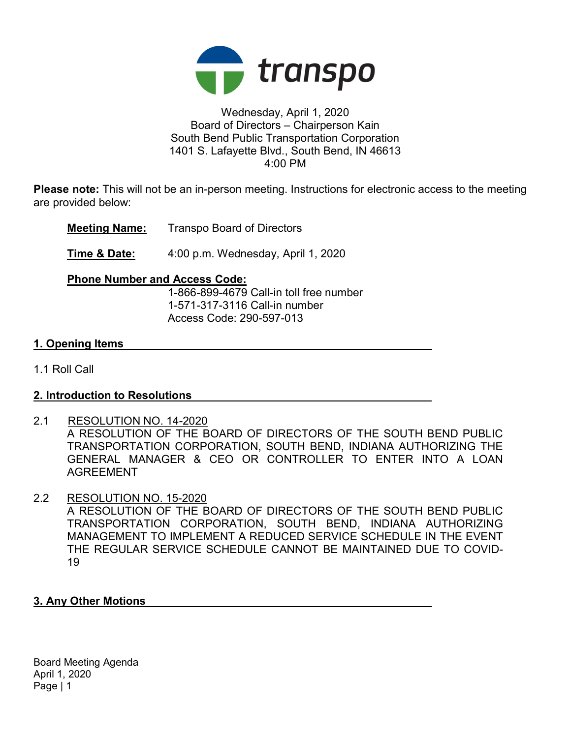

# Wednesday, April 1, 2020 Board of Directors – Chairperson Kain South Bend Public Transportation Corporation 1401 S. Lafayette Blvd., South Bend, IN 46613 4:00 PM

Please note: This will not be an in-person meeting. Instructions for electronic access to the meeting are provided below:

Meeting Name: Transpo Board of Directors

Time & Date: 4:00 p.m. Wednesday, April 1, 2020

# Phone Number and Access Code:

 1-866-899-4679 Call-in toll free number 1-571-317-3116 Call-in number Access Code: 290-597-013

# 1. Opening Items

1.1 Roll Call

# 2. Introduction to Resolutions

2.1 RESOLUTION NO. 14-2020 A RESOLUTION OF THE BOARD OF DIRECTORS OF THE SOUTH BEND PUBLIC TRANSPORTATION CORPORATION, SOUTH BEND, INDIANA AUTHORIZING THE GENERAL MANAGER & CEO OR CONTROLLER TO ENTER INTO A LOAN AGREEMENT

# 2.2 RESOLUTION NO. 15-2020

A RESOLUTION OF THE BOARD OF DIRECTORS OF THE SOUTH BEND PUBLIC TRANSPORTATION CORPORATION, SOUTH BEND, INDIANA AUTHORIZING MANAGEMENT TO IMPLEMENT A REDUCED SERVICE SCHEDULE IN THE EVENT THE REGULAR SERVICE SCHEDULE CANNOT BE MAINTAINED DUE TO COVID-19

#### 3. Any Other Motions

Board Meeting Agenda April 1, 2020 Page | 1